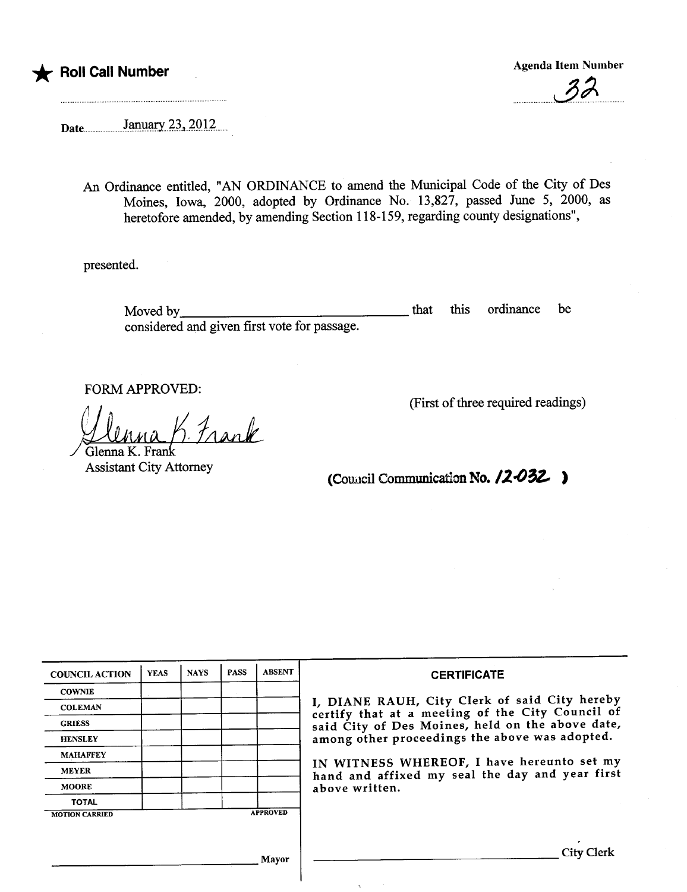

 $\overline{\mathscr{S}^{\rho}}$ 

Date....... ....)a.ti.~~,.~Ql~..

An Ordinance entitled, "AN ORDINANCE to amend the Muncipal Code of the City of Des Moines, Iowa, 2000, adopted by Ordinance No. 13,827, passed June 5, 2000, as heretofore amended, by amending Section 118-159, regarding county designations",

presented.

Moved by considered and given first vote for passage. that this ordinance be

FORM APPROVED:

Frank

Glenna K. Frank **Assistant City Attorney**  (First of three required readings)

(Council Communication No.  $12-032$ )

| <b>COUNCIL ACTION</b> | <b>YEAS</b> | <b>NAYS</b> | <b>PASS</b> | <b>ABSENT</b>   | <b>CERTIFICATE</b>                                                                                                                                                                                      |  |  |
|-----------------------|-------------|-------------|-------------|-----------------|---------------------------------------------------------------------------------------------------------------------------------------------------------------------------------------------------------|--|--|
| <b>COWNIE</b>         |             |             |             |                 |                                                                                                                                                                                                         |  |  |
| <b>COLEMAN</b>        |             |             |             |                 | I, DIANE RAUH, City Clerk of said City hereby<br>certify that at a meeting of the City Council of<br>said City of Des Moines, held on the above date,<br>among other proceedings the above was adopted. |  |  |
| <b>GRIESS</b>         |             |             |             |                 |                                                                                                                                                                                                         |  |  |
| <b>HENSLEY</b>        |             |             |             |                 |                                                                                                                                                                                                         |  |  |
| <b>MAHAFFEY</b>       |             |             |             |                 | IN WITNESS WHEREOF, I have hereunto set my                                                                                                                                                              |  |  |
| <b>MEYER</b>          |             |             |             |                 | hand and affixed my seal the day and year first<br>above written.                                                                                                                                       |  |  |
| <b>MOORE</b>          |             |             |             |                 |                                                                                                                                                                                                         |  |  |
| <b>TOTAL</b>          |             |             |             |                 |                                                                                                                                                                                                         |  |  |
| <b>MOTION CARRIED</b> |             |             |             | <b>APPROVED</b> |                                                                                                                                                                                                         |  |  |
|                       |             |             |             |                 |                                                                                                                                                                                                         |  |  |
|                       |             |             |             | Mayor           | <b>City Clerk</b>                                                                                                                                                                                       |  |  |

 $\chi$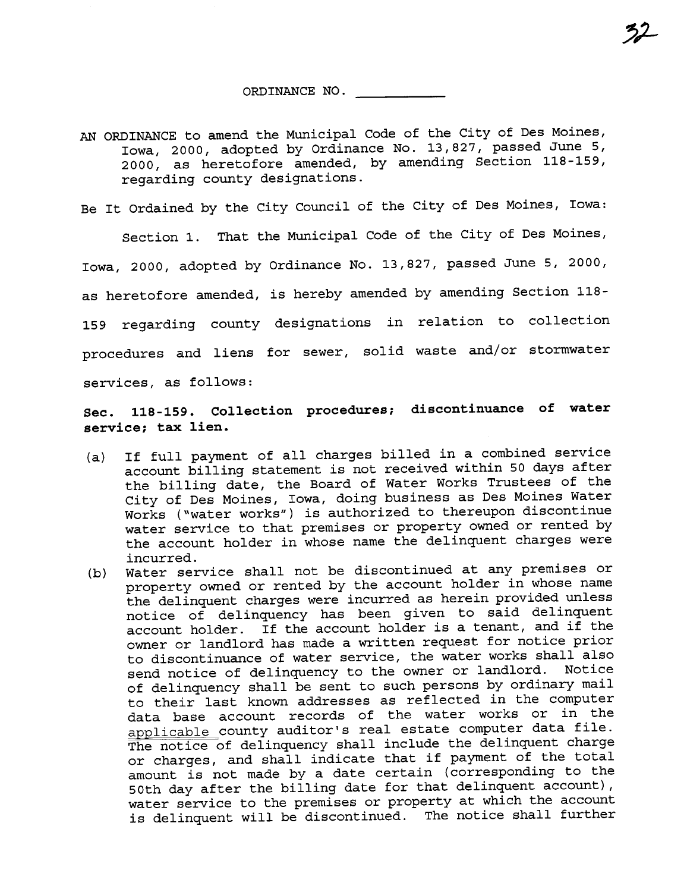ORDINANCE NO.

AN ORDINANCE to amend the Municipal Code of the City of Des Moines, Iowa, 2000, adopted by Ordinance No. 13,827, passed June 5, 2000, as heretofore amended, by amending Section 118-159, regarding county designations.

Be It Ordained by the City Council of the City of Des Moines, Iowa:

Section 1. That the Municipal Code of the City of Des Moines, Iowa, 2000, adopted by Ordinance No. 13,827, passed June 5, 2000, as heretofore amended, is hereby amended by amending Section 118- 159 regarding county designations in relation to collection procedures and liens for sewer, solid waste and/or stormwater services, as follows:

Sec. 118-159. Collection procedures; discontinuance of water service; tax lien.

- (a) If full payment of all charges billed in a combined service account billing statement is not received within 50 days after the billing date, the Board of Water Works Trustees of the City of Des Moines, Iowa, doing business as Des Moines Water Works ("water works") is authorized to thereupon discontinue water service to that premises or property owned or rented by the account holder in whose name the delinquent charges were incurred.
- (b) Water service shall not be discontinued at any premises or property owned or rented by the account holder in whose name the delinquent charges were incurred as herein provided unless notice of delinquency has been given to said delinquent account holder. If the account holder is a tenant, and if the owner or landlord has made a written request for notice prior to discontinuance of water service, the water works shall also send notice of delinquency to the owner or landlord. Notice of delinquency shall be sent to such persons by ordinary mail to their last known addresses as reflected in the computer data base account records of the water works or in the applicable county auditor's real estate computer data file. The notice of delinquency shall include the delinquent charge or charges, and shall indicate that if payment of the total amount is not made by a date certain (corresponding to the 50th day after the billing date for that delinquent account), water service to the premises or property at which the account is delinquent will be discontinued. The notice shall further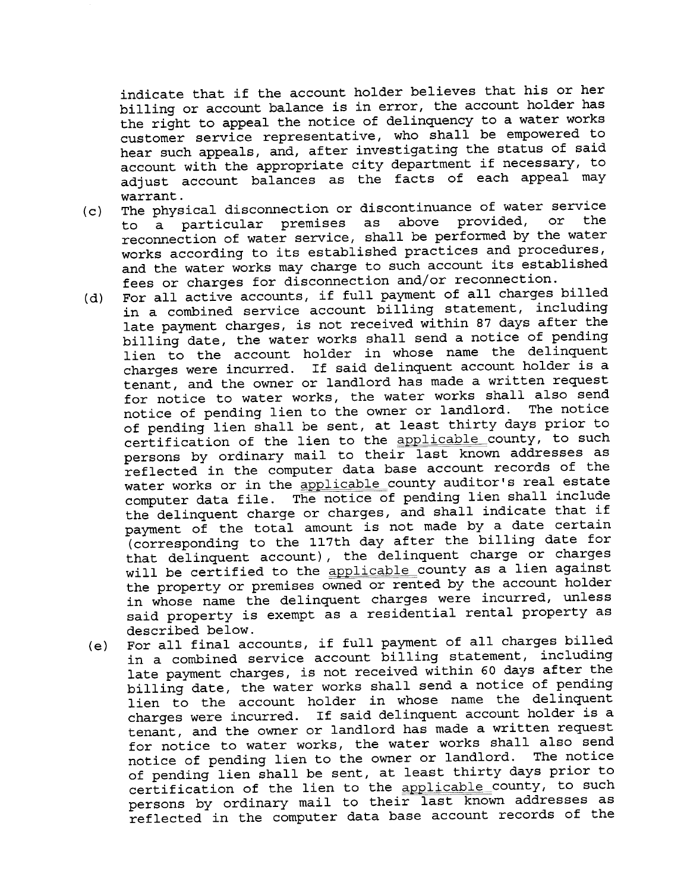indicate that if the account holder believes that his or her billing or account balance is in error, the account holder has the right to appeal the notice of delinquency to a water works customer service representative, who shall be empowered to hear such appeals, and, after investigating the status of said account with the appropriate city department if necessary, to adjust account balances as the facts of each appeal may warrant.

- (c) The physical disconnection or discontinuance of water service<br>to a particular premises as above provided, or the  $\overline{a}$  particular premises as above provided, reconnection of water service, shall be performed by the water works according to its established practices and procedures, and the water works may charge to such account its established fees or charges for disconnection and/or reconnection.
- (d) For all active accounts, if full payment of all charges billed in a combined service account billing statement, including late payment charges, is not received within 87 days after the billing date, the water works shall send a notice of pending lien to the account holder in whose name the delinquent<br>charges were incurred. If said delinquent account holder is a If said delinquent account holder is a tenant, and the owner or landlord has made a written request for notice to water works, the water works shall also send notice of pending lien to the owner or landlord. The notice of pending lien shall be sent, at least thirty days prior to certification of the lien to the applicable county, to such persons by ordinary mail to their last known addresses as reflected in the computer data base account records of the water works or in the applicable county auditor's real estate computer data file. The notice of pending lien shall include the delinquent charge or charges, and shall indicate that if payment of the total amount is not made by a date certain (corresponding to the 117th day after the billing date for that delinquent account), the delinquent charge or charges will be certified to the applicable county as a lien against the property or premises owned or rented by the account holder in whose name the delinquent charges were incurred, unless said property is exempt as a residential rental property as described below.
- (e) For all final accounts, if full payment of all charges billed in a combined service account billing statement, including late payment charges, is not received within 60 days after the billing date, the water works shall send a notice of pending lien to the account holder in whose name the delinquent charges were incurred. If said delinquent account holder is a tenant, and the owner or landlord has made a written request for notice to water works, the water works shall also send<br>notice of pending lien to the owner or landlord. The notice notice of pending lien to the owner or landlord. of pending lien shall be sent, at least thirty days prior to certification of the lien to the applicable\_county, to such persons by ordinary mail to their last known addresses as reflected in the computer data base account records of the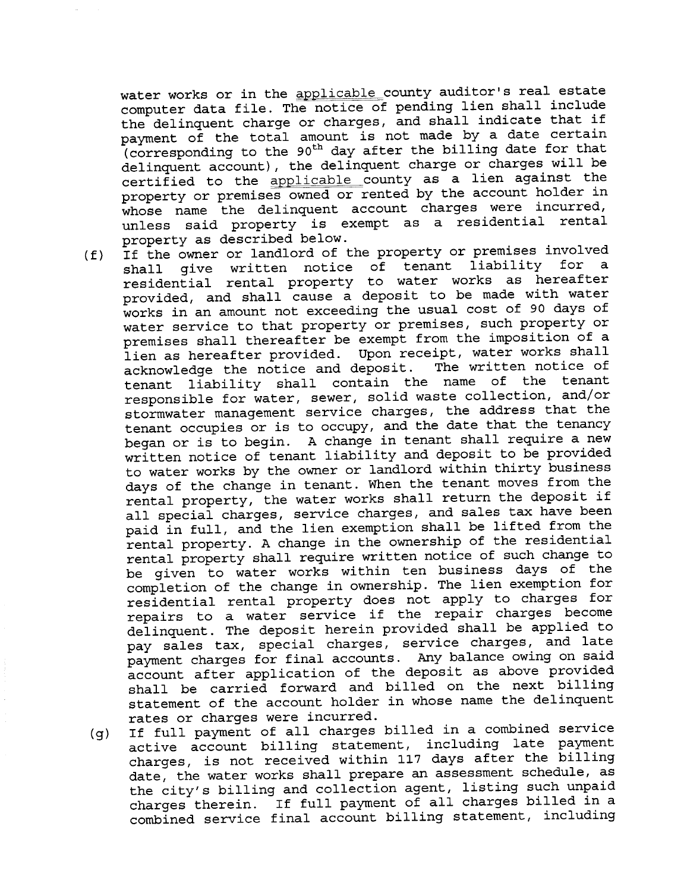water works or in the applicable county auditor's real estate computer data file. The notice of pending lien shall include the delinquent charge or charges, and shall indicate that if payment of the total amount is not made by a date certain (corresponding to the 90<sup>th</sup> day after the billing date for that delinquent account), the delinquent charge or charges will be certified to the applicable county as a lien against the property or premises owned or rented by the account holder in<br>whose name the delinquent account charges were incurred, unless said property is exempt as a residential rental property as described below.

- (f) If the owner or landlord of the property or premises involved<br>shall give written notice of tenant liability for a shall give written notice of tenant liability for a residential rental property to water works as hereafter provided, and shall cause a deposit to be made with water works in an amount not exceeding the usual cost of 90 days of water service to that property or premises, such property or premises shall thereafter be exempt from the imposition of a lien as hereafter provided. Upon receipt, water works shall acknowledge the notice and deposit. The written notice of tenant liability shall contain the name of the tenant responsible for water, sewer, solid waste collection, and/or stormwater management service charges, the address that the tenant occupies or is to occupy, and the date that the tenancy began or is to begin. A change in tenant shall require a new written notice of tenant liability and deposit to be provided to water works by the owner or landlord within thirty business days of the change in tenant. When the tenant moves from the rental property, the water works shall return the deposit if all special charges, service charges, and sales tax have been paid in full, and the lien exemption shall be lifted from the rental property. A change in the ownership of the residential rental property shall require written notice of such change to be given to water works within ten business days of the completion of the change in ownership. The lien exemption for residential rental property does not apply to charges for repairs to a water service if the repair charges become delinquent. The deposit herein provided shall be applied to pay sales tax, special charges, service charges, and late payment charges for final accounts. Any balance owing on said account after application of the deposit as above provided shall be carried forward and billed on the next billing statement of the account holder in whose name the delinquent rates or charges were incurred.
	- (g) If full payment of all charges billed in a combined service active account billing statement, including late payment charges, is not received within 117 days after the billing date, the water works shall prepare an assessment schedule, as the city's billing and collection agent, listing such unpaid charges therein. If full payment of all charges billed in a combined service final account billing statement, including